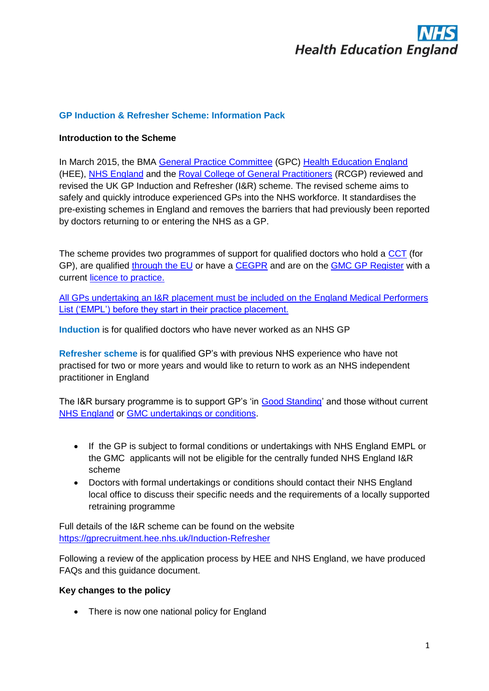

#### **GP Induction & Refresher Scheme: Information Pack**

#### **Introduction to the Scheme**

In March 2015, the BMA [General Practice Committee](http://bma.org.uk/working-for-change/negotiating-for-the-profession/bma-general-practitioners-committee) (GPC) [Health Education England](https://hee.nhs.uk/) (HEE), [NHS England](http://www.england.nhs.uk/) and the [Royal College of General Practitioners](http://www.rcgp.org.uk/) (RCGP) reviewed and revised the UK GP Induction and Refresher (I&R) scheme. The revised scheme aims to safely and quickly introduce experienced GPs into the NHS workforce. It standardises the pre-existing schemes in England and removes the barriers that had previously been reported by doctors returning to or entering the NHS as a GP.

The scheme provides two programmes of support for qualified doctors who hold a [CCT](http://www.gmc-uk.org/doctors/24629.asp) (for GP), are qualified [through the EU](http://www.gmc-uk.org/doctors/before_you_apply/13870.asp) or have a [CEGPR](http://www.gmc-uk.org/doctors/24630.asp) and are on the [GMC GP Register](http://www.gmc-uk.org/doctors/medical_register.asp) with a current [licence to practice.](http://www.gmc-uk.org/doctors/licensing.asp)

All GPs undertaking an I&R placement must be included on the England Medical Performers List ('EMPL') before they start in their practice placement.

**Induction** is for qualified doctors who have never worked as an NHS GP

**Refresher scheme** is for qualified GP's with previous NHS experience who have not practised for two or more years and would like to return to work as an NHS independent practitioner in England

The I&R bursary programme is to support GP's 'in [Good Standing'](http://www.gmc-uk.org/doctors/registration_applications/img_prfr_p6.asp?p=5) and those without current [NHS England](https://www.england.nhs.uk/wp-content/uploads/2014/08/Performer-list-frmwrk.pdf) or [GMC undertakings or conditions.](http://www.gmc-uk.org/DC6535_Information_for_doctors_who_have_undertakings_or_conditions_that_affect_their_practice_58388105.pdf)

- If the GP is subject to formal conditions or undertakings with NHS England EMPL or the GMC applicants will not be eligible for the centrally funded NHS England I&R scheme
- Doctors with formal undertakings or conditions should contact their NHS England local office to discuss their specific needs and the requirements of a locally supported retraining programme

Full details of the I&R scheme can be found on the website <https://gprecruitment.hee.nhs.uk/Induction-Refresher>

Following a review of the application process by HEE and NHS England, we have produced FAQs and this guidance document.

#### **Key changes to the policy**

• There is now one national policy for England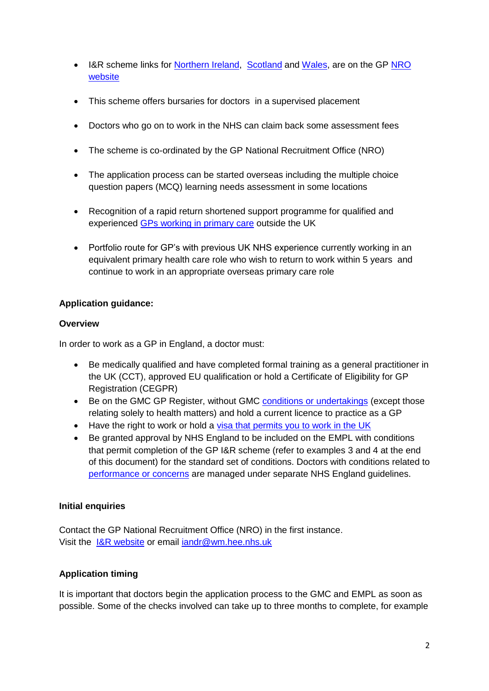- I&R scheme links for [Northern Ireland,](http://www.nimdta.gov.uk/general-practice/other-gp-services/) [Scotland](http://www.nes.scot.nhs.uk/education-and-training/by-discipline/medicine/general-practice/gp-induction-and-returners-programme.aspx) and [Wales,](http://www.walesdeanery.org/index.php/en/gp-specialty-training/gp-induction-a-refresher-training.html) are on the GP NRO **[website](http://gprecruitment.hee.nhs.uk/Induction-Refresher)**
- This scheme offers bursaries for doctors in a supervised placement
- Doctors who go on to work in the NHS can claim back some assessment fees
- The scheme is co-ordinated by the GP National Recruitment Office (NRO)
- The application process can be started overseas including the multiple choice question papers (MCQ) learning needs assessment in some locations
- Recognition of a rapid return shortened support programme for qualified and experienced [GPs working in primary care](http://www.nhscareers.nhs.uk/explore-by-career/doctors/careers-in-medicine/general-practice/) outside the UK
- Portfolio route for GP's with previous UK NHS experience currently working in an equivalent primary health care role who wish to return to work within 5 years and continue to work in an appropriate overseas primary care role

## **Application guidance:**

### **Overview**

In order to work as a GP in England, a doctor must:

- Be medically qualified and have completed formal training as a general practitioner in the UK (CCT), approved EU qualification or hold a Certificate of Eligibility for GP Registration (CEGPR)
- Be on the GMC GP Register, without GMC [conditions or undertakings](http://www.gmc-uk.org/DC6535_Information_for_doctors_who_have_undertakings_or_conditions_that_affect_their_practice_58388105.pdf) (except those relating solely to health matters) and hold a current licence to practice as a GP
- Have the right to work or hold a visa that permits you to work in the UK
- Be granted approval by NHS England to be included on the EMPL with conditions that permit completion of the GP I&R scheme (refer to examples 3 and 4 at the end of this document) for the standard set of conditions. Doctors with conditions related to [performance or concerns](https://www.england.nhs.uk/wp-content/uploads/2014/08/Performer-list-frmwrk.pdf) are managed under separate NHS England guidelines.

### **Initial enquiries**

Contact the GP National Recruitment Office (NRO) in the first instance. Visit the [I&R website](http://gprecruitment.hee.nhs.uk/Induction-Refresher) or email [iandr@wm.hee.nhs.uk](mailto:iandr@wm.hee.nhs.uk)

# **Application timing**

It is important that doctors begin the application process to the GMC and EMPL as soon as possible. Some of the checks involved can take up to three months to complete, for example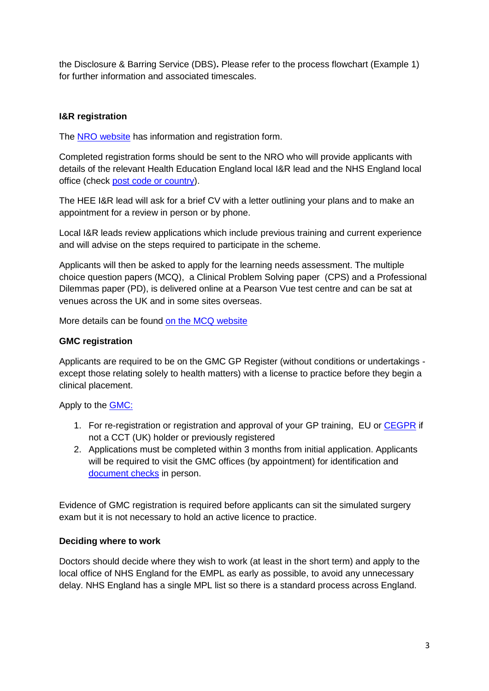the Disclosure & Barring Service (DBS)**.** Please refer to the process flowchart (Example 1) for further information and associated timescales.

## **I&R registration**

The [NRO website](http://gprecruitment.hee.nhs.uk/Induction-Refresher) has information and registration form.

Completed registration forms should be sent to the NRO who will provide applicants with details of the relevant Health Education England local I&R lead and the NHS England local office (check [post code or country\)](https://www.performer.england.nhs.uk/AT/SearchByPostcode).

The HEE I&R lead will ask for a brief CV with a letter outlining your plans and to make an appointment for a review in person or by phone.

Local I&R leads review applications which include previous training and current experience and will advise on the steps required to participate in the scheme.

Applicants will then be asked to apply for the learning needs assessment. The multiple choice question papers (MCQ), a Clinical Problem Solving paper (CPS) and a Professional Dilemmas paper (PD), is delivered online at a Pearson Vue test centre and can be sat at venues across the UK and in some sites overseas.

More details can be found [on the MCQ website](http://gprecruitment.hee.nhs.uk/Test-Refresher/About-the-I-R-scheme)

#### **GMC registration**

Applicants are required to be on the GMC GP Register (without conditions or undertakings except those relating solely to health matters) with a license to practice before they begin a clinical placement.

Apply to the [GMC:](http://www.gmc-uk.org/doctors/route10.asp)

- 1. For re-registration or registration and approval of your GP training, EU or [CEGPR](http://www.gmc-uk.org/SGPC___SSG___General_Practice___DC2298.pdf_48457725.pdf) if not a CCT (UK) holder or previously registered
- 2. Applications must be completed within 3 months from initial application. Applicants will be required to visit the GMC offices (by appointment) for identification and [document checks](http://www.gmc-uk.org/doctors/identity_checks.asp) in person.

Evidence of GMC registration is required before applicants can sit the simulated surgery exam but it is not necessary to hold an active licence to practice.

### **Deciding where to work**

Doctors should decide where they wish to work (at least in the short term) and apply to the local office of NHS England for the EMPL as early as possible, to avoid any unnecessary delay. NHS England has a single MPL list so there is a standard process across England.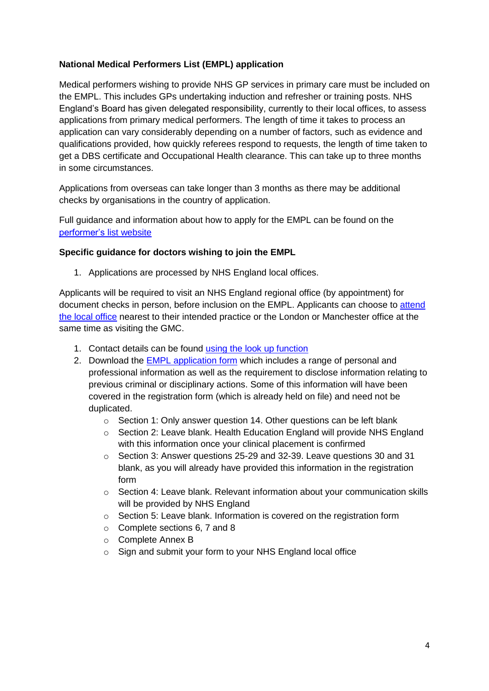## **National Medical Performers List (EMPL) application**

Medical performers wishing to provide NHS GP services in primary care must be included on the EMPL. This includes GPs undertaking induction and refresher or training posts. NHS England's Board has given delegated responsibility, currently to their local offices, to assess applications from primary medical performers. The length of time it takes to process an application can vary considerably depending on a number of factors, such as evidence and qualifications provided, how quickly referees respond to requests, the length of time taken to get a DBS certificate and Occupational Health clearance. This can take up to three months in some circumstances.

Applications from overseas can take longer than 3 months as there may be additional checks by organisations in the country of application.

Full guidance and information about how to apply for the EMPL can be found on the [performer's](https://www.performer.england.nhs.uk/) list website

### **Specific guidance for doctors wishing to join the EMPL**

1. Applications are processed by [NHS England local offices.](https://www.performer.england.nhs.uk/AT/SearchByPostcode)

Applicants will be required to visit an NHS England regional office (by appointment) for document checks in person, before inclusion on the EMPL. Applicants can choose to attend the local office nearest to their intended practice or the London or Manchester office at the same time as visiting the GMC.

- 1. Contact details can be found [using the look up function](https://www.performer.england.nhs.uk/AT/SearchByPostcode)
- 2. Download the EMPL [application form](http://www.england.nhs.uk/wp-content/uploads/2014/08/npl-1-app-form-word.doc) which includes a range of personal and professional information as well as the requirement to disclose information relating to previous criminal or disciplinary actions. Some of this information will have been covered in the registration form (which is already held on file) and need not be duplicated.
	- o Section 1: Only answer question 14. Other questions can be left blank
	- o Section 2: Leave blank. Health Education England will provide NHS England with this information once your clinical placement is confirmed
	- o Section 3: Answer questions 25-29 and 32-39. Leave questions 30 and 31 blank, as you will already have provided this information in the registration form
	- $\circ$  Section 4: Leave blank. Relevant information about your communication skills will be provided by NHS England
	- o Section 5: Leave blank. Information is covered on the registration form
	- o Complete sections 6, 7 and 8
	- o Complete Annex B
	- o Sign and submit your form to your NHS England local office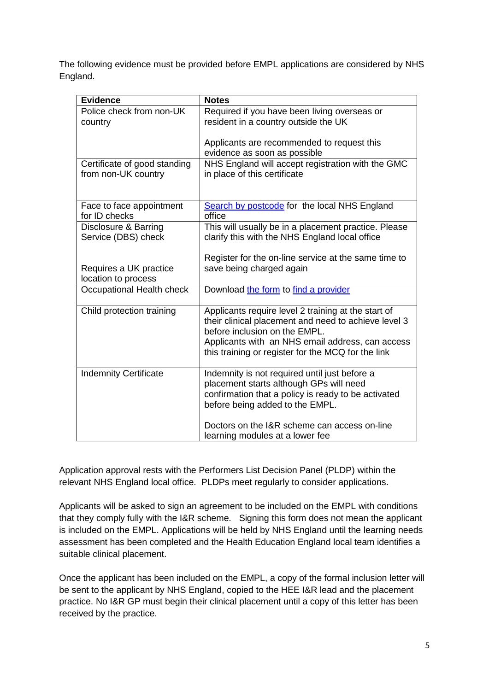The following evidence must be provided before EMPL applications are considered by NHS England.

| <b>Evidence</b>                       | <b>Notes</b>                                                                             |
|---------------------------------------|------------------------------------------------------------------------------------------|
| Police check from non-UK              | Required if you have been living overseas or                                             |
| country                               | resident in a country outside the UK                                                     |
|                                       |                                                                                          |
|                                       | Applicants are recommended to request this<br>evidence as soon as possible               |
| Certificate of good standing          | NHS England will accept registration with the GMC                                        |
| from non-UK country                   | in place of this certificate                                                             |
|                                       |                                                                                          |
|                                       |                                                                                          |
| Face to face appointment              | Search by postcode for the local NHS England<br>office                                   |
| for ID checks<br>Disclosure & Barring | This will usually be in a placement practice. Please                                     |
| Service (DBS) check                   | clarify this with the NHS England local office                                           |
|                                       |                                                                                          |
|                                       | Register for the on-line service at the same time to                                     |
| Requires a UK practice                | save being charged again                                                                 |
| location to process                   |                                                                                          |
| Occupational Health check             | Download the form to find a provider                                                     |
| Child protection training             | Applicants require level 2 training at the start of                                      |
|                                       | their clinical placement and need to achieve level 3                                     |
|                                       | before inclusion on the EMPL.                                                            |
|                                       | Applicants with an NHS email address, can access                                         |
|                                       | this training or register for the MCQ for the link                                       |
|                                       |                                                                                          |
| <b>Indemnity Certificate</b>          | Indemnity is not required until just before a<br>placement starts although GPs will need |
|                                       | confirmation that a policy is ready to be activated                                      |
|                                       | before being added to the EMPL.                                                          |
|                                       |                                                                                          |
|                                       | Doctors on the I&R scheme can access on-line                                             |
|                                       | learning modules at a lower fee                                                          |

Application approval rests with the Performers List Decision Panel (PLDP) within the relevant NHS England local office. PLDPs meet regularly to consider applications.

Applicants will be asked to sign an agreement to be included on the EMPL with conditions that they comply fully with the I&R scheme. Signing this form does not mean the applicant is included on the EMPL. Applications will be held by NHS England until the learning needs assessment has been completed and the Health Education England local team identifies a suitable clinical placement.

Once the applicant has been included on the EMPL, a copy of the formal inclusion letter will be sent to the applicant by NHS England, copied to the HEE I&R lead and the placement practice. No I&R GP must begin their clinical placement until a copy of this letter has been received by the practice.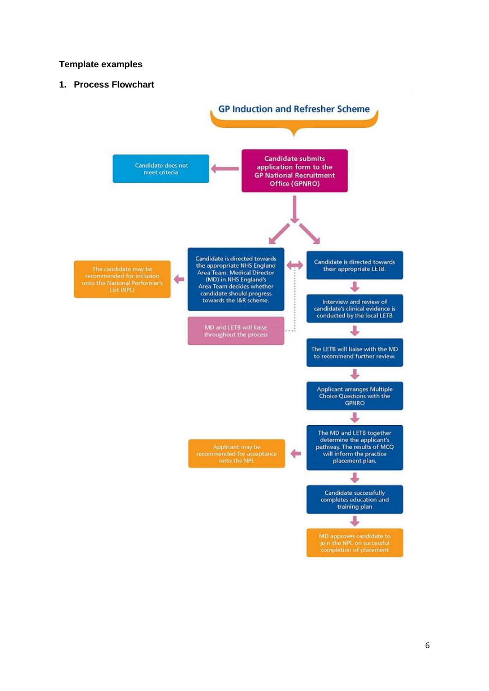#### **Template examples**

**1. Process Flowchart**

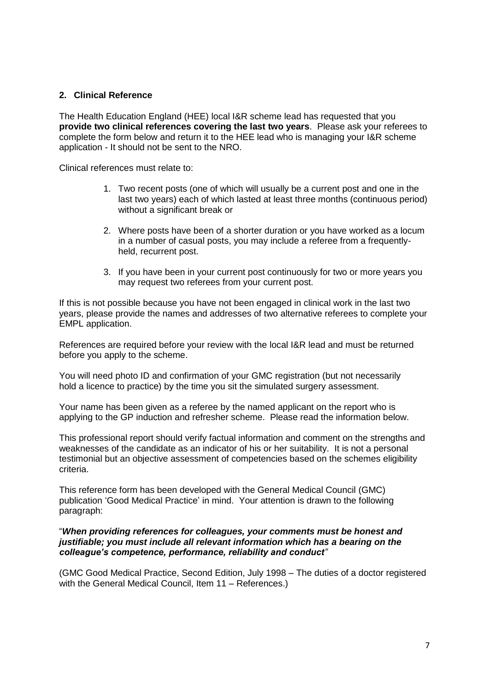#### **2. Clinical Reference**

The Health Education England (HEE) local I&R scheme lead has requested that you **provide two clinical references covering the last two years**. Please ask your referees to complete the form below and return it to the HEE lead who is managing your I&R scheme application - It should not be sent to the NRO.

Clinical references must relate to:

- 1. Two recent posts (one of which will usually be a current post and one in the last two years) each of which lasted at least three months (continuous period) without a significant break or
- 2. Where posts have been of a shorter duration or you have worked as a locum in a number of casual posts, you may include a referee from a frequentlyheld, recurrent post.
- 3. If you have been in your current post continuously for two or more years you may request two referees from your current post.

If this is not possible because you have not been engaged in clinical work in the last two years, please provide the names and addresses of two alternative referees to complete your EMPL application.

References are required before your review with the local I&R lead and must be returned before you apply to the scheme.

You will need photo ID and confirmation of your GMC registration (but not necessarily hold a licence to practice) by the time you sit the simulated surgery assessment.

Your name has been given as a referee by the named applicant on the report who is applying to the GP induction and refresher scheme. Please read the information below.

This professional report should verify factual information and comment on the strengths and weaknesses of the candidate as an indicator of his or her suitability. It is not a personal testimonial but an objective assessment of competencies based on the schemes eligibility criteria.

This reference form has been developed with the General Medical Council (GMC) publication 'Good Medical Practice' in mind. Your attention is drawn to the following paragraph:

#### "*When providing references for colleagues, your comments must be honest and justifiable; you must include all relevant information which has a bearing on the colleague's competence, performance, reliability and conduct"*

(GMC Good Medical Practice, Second Edition, July 1998 – The duties of a doctor registered with the General Medical Council, Item 11 – References.)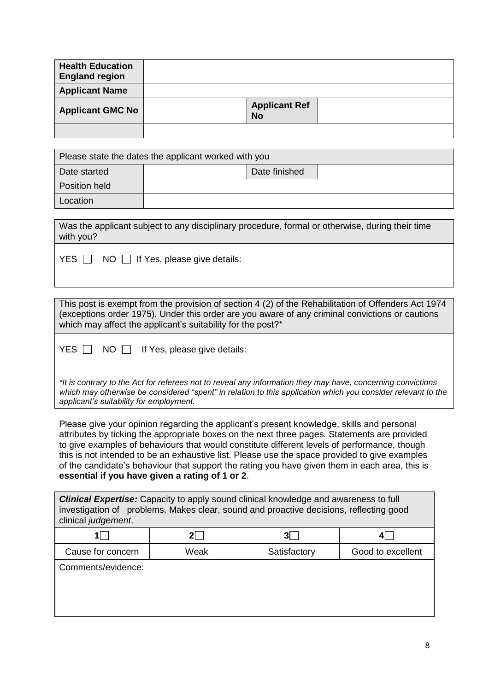| <b>Health Education</b><br><b>England region</b> |                                   |  |
|--------------------------------------------------|-----------------------------------|--|
| <b>Applicant Name</b>                            |                                   |  |
| <b>Applicant GMC No</b>                          | <b>Applicant Ref</b><br><b>No</b> |  |
|                                                  |                                   |  |

| Please state the dates the applicant worked with you |  |               |  |
|------------------------------------------------------|--|---------------|--|
| Date started                                         |  | Date finished |  |
| Position held                                        |  |               |  |
| Location                                             |  |               |  |

| Was the applicant subject to any disciplinary procedure, formal or otherwise, during their time |  |
|-------------------------------------------------------------------------------------------------|--|
| with you?                                                                                       |  |
|                                                                                                 |  |

 $YES \n\[\n\]\n\[NO \n\]\n\[\n\]\nIf Yes, please give details:\n\]\n$ 

This post is exempt from the provision of section 4 (2) of the Rehabilitation of Offenders Act 1974 (exceptions order 1975). Under this order are you aware of any criminal convictions or cautions which may affect the applicant's suitability for the post?\*

 $YES \quad \Box \quad NO \quad \Box \quad$  If Yes, please give details:

*\*It is contrary to the Act for referees not to reveal any information they may have, concerning convictions which may otherwise be considered "spent" in relation to this application which you consider relevant to the applicant's suitability for employment.*

Please give your opinion regarding the applicant's present knowledge, skills and personal attributes by ticking the appropriate boxes on the next three pages. Statements are provided to give examples of behaviours that would constitute different levels of performance, though this is not intended to be an exhaustive list. Please use the space provided to give examples of the candidate's behaviour that support the rating you have given them in each area, this is **essential if you have given a rating of 1 or 2**.

*Clinical Expertise:* Capacity to apply sound clinical knowledge and awareness to full investigation of problems. Makes clear, sound and proactive decisions, reflecting good clinical *judgement*.

| Cause for concern | Weak | Satisfactory | Good to excellent |
|-------------------|------|--------------|-------------------|

Comments/evidence: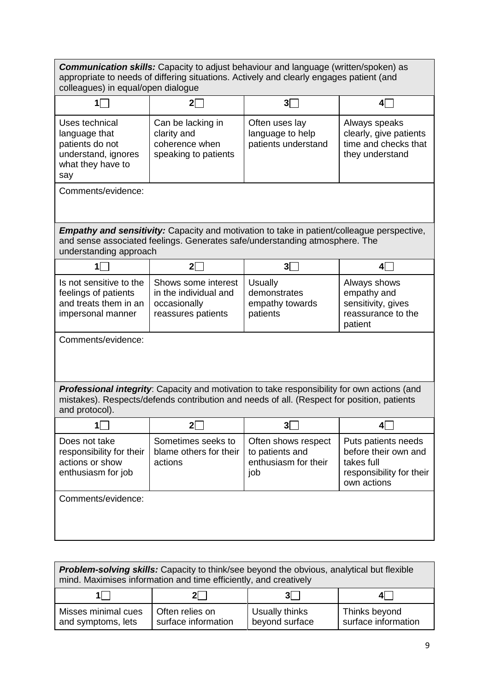| <b>Communication skills:</b> Capacity to adjust behaviour and language (written/spoken) as<br>appropriate to needs of differing situations. Actively and clearly engages patient (and<br>colleagues) in equal/open dialogue |                                                                                    |                                                                                                                                                                                                  |                                                                                                      |
|-----------------------------------------------------------------------------------------------------------------------------------------------------------------------------------------------------------------------------|------------------------------------------------------------------------------------|--------------------------------------------------------------------------------------------------------------------------------------------------------------------------------------------------|------------------------------------------------------------------------------------------------------|
| 11                                                                                                                                                                                                                          | $2\square$                                                                         | 3                                                                                                                                                                                                | $4\Box$                                                                                              |
| Uses technical<br>language that<br>patients do not<br>understand, ignores<br>what they have to<br>say                                                                                                                       | Can be lacking in<br>clarity and<br>coherence when<br>speaking to patients         | Often uses lay<br>language to help<br>patients understand                                                                                                                                        | Always speaks<br>clearly, give patients<br>time and checks that<br>they understand                   |
| Comments/evidence:                                                                                                                                                                                                          |                                                                                    |                                                                                                                                                                                                  |                                                                                                      |
| understanding approach                                                                                                                                                                                                      |                                                                                    | <b>Empathy and sensitivity:</b> Capacity and motivation to take in patient/colleague perspective,<br>and sense associated feelings. Generates safe/understanding atmosphere. The                 |                                                                                                      |
| 1                                                                                                                                                                                                                           | 2 <sup>1</sup>                                                                     | $3\Box$                                                                                                                                                                                          | 4 $□$                                                                                                |
| Is not sensitive to the<br>feelings of patients<br>and treats them in an<br>impersonal manner                                                                                                                               | Shows some interest<br>in the individual and<br>occasionally<br>reassures patients | <b>Usually</b><br>demonstrates<br>empathy towards<br>patients                                                                                                                                    | Always shows<br>empathy and<br>sensitivity, gives<br>reassurance to the<br>patient                   |
| Comments/evidence:                                                                                                                                                                                                          |                                                                                    |                                                                                                                                                                                                  |                                                                                                      |
| and protocol).                                                                                                                                                                                                              |                                                                                    | <b>Professional integrity:</b> Capacity and motivation to take responsibility for own actions (and<br>mistakes). Respects/defends contribution and needs of all. (Respect for position, patients |                                                                                                      |
| $1\Box$                                                                                                                                                                                                                     | $2\square$                                                                         | $3\square$                                                                                                                                                                                       | 4 $\Box$                                                                                             |
| Does not take<br>responsibility for their<br>actions or show<br>enthusiasm for job                                                                                                                                          | Sometimes seeks to<br>blame others for their<br>actions                            | Often shows respect<br>to patients and<br>enthusiasm for their<br>job                                                                                                                            | Puts patients needs<br>before their own and<br>takes full<br>responsibility for their<br>own actions |
| Comments/evidence:                                                                                                                                                                                                          |                                                                                    |                                                                                                                                                                                                  |                                                                                                      |

| <b>Problem-solving skills:</b> Capacity to think/see beyond the obvious, analytical but flexible<br>mind. Maximises information and time efficiently, and creatively |                                        |                                  |                                      |  |
|----------------------------------------------------------------------------------------------------------------------------------------------------------------------|----------------------------------------|----------------------------------|--------------------------------------|--|
| $2  \ \  $<br>31                                                                                                                                                     |                                        |                                  |                                      |  |
| Misses minimal cues<br>and symptoms, lets                                                                                                                            | Often relies on<br>surface information | Usually thinks<br>beyond surface | Thinks beyond<br>surface information |  |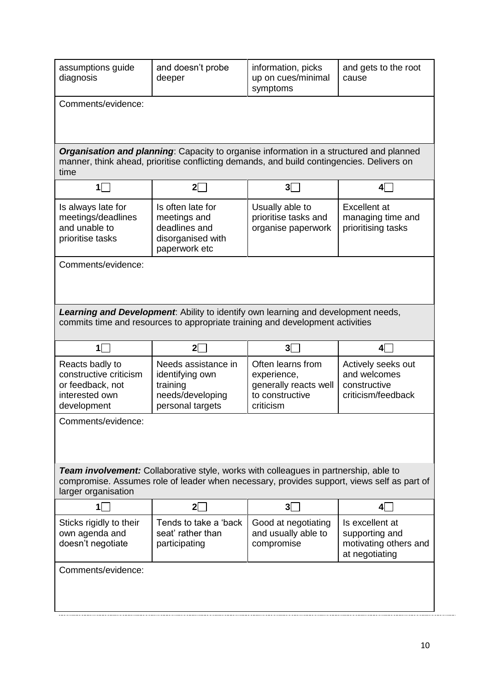| assumptions guide<br>diagnosis                                                                                                                                                                            | and doesn't probe<br>deeper                                                                                                                                                          | information, picks<br>up on cues/minimal<br>symptoms                                      | and gets to the root<br>cause                                            |  |
|-----------------------------------------------------------------------------------------------------------------------------------------------------------------------------------------------------------|--------------------------------------------------------------------------------------------------------------------------------------------------------------------------------------|-------------------------------------------------------------------------------------------|--------------------------------------------------------------------------|--|
| Comments/evidence:                                                                                                                                                                                        |                                                                                                                                                                                      |                                                                                           |                                                                          |  |
|                                                                                                                                                                                                           |                                                                                                                                                                                      |                                                                                           |                                                                          |  |
| time                                                                                                                                                                                                      | Organisation and planning: Capacity to organise information in a structured and planned<br>manner, think ahead, prioritise conflicting demands, and build contingencies. Delivers on |                                                                                           |                                                                          |  |
| $\mathbf{1}$                                                                                                                                                                                              | $2\square$                                                                                                                                                                           | $3\Box$                                                                                   | $\mathbf{4}$                                                             |  |
| Is always late for<br>meetings/deadlines<br>and unable to<br>prioritise tasks                                                                                                                             | Is often late for<br>meetings and<br>deadlines and<br>disorganised with<br>paperwork etc                                                                                             | Usually able to<br>prioritise tasks and<br>organise paperwork                             | <b>Excellent</b> at<br>managing time and<br>prioritising tasks           |  |
| Comments/evidence:                                                                                                                                                                                        |                                                                                                                                                                                      |                                                                                           |                                                                          |  |
|                                                                                                                                                                                                           | Learning and Development. Ability to identify own learning and development needs,<br>commits time and resources to appropriate training and development activities                   |                                                                                           |                                                                          |  |
| $1\Box$                                                                                                                                                                                                   | $2\Box$                                                                                                                                                                              | $3\Box$                                                                                   | 4⊟                                                                       |  |
| Reacts badly to<br>constructive criticism<br>or feedback, not<br>interested own<br>development                                                                                                            | Needs assistance in<br>identifying own<br>training<br>needs/developing<br>personal targets                                                                                           | Often learns from<br>experience,<br>generally reacts well<br>to constructive<br>criticism | Actively seeks out<br>and welcomes<br>constructive<br>criticism/feedback |  |
| Comments/evidence:                                                                                                                                                                                        |                                                                                                                                                                                      |                                                                                           |                                                                          |  |
| Team involvement: Collaborative style, works with colleagues in partnership, able to<br>compromise. Assumes role of leader when necessary, provides support, views self as part of<br>larger organisation |                                                                                                                                                                                      |                                                                                           |                                                                          |  |
| 1                                                                                                                                                                                                         | $2\Box$                                                                                                                                                                              | $3\Box$                                                                                   | 4                                                                        |  |
| Sticks rigidly to their<br>own agenda and<br>doesn't negotiate                                                                                                                                            | Tends to take a 'back<br>seat' rather than<br>participating                                                                                                                          | Good at negotiating<br>and usually able to<br>compromise                                  | Is excellent at<br>supporting and<br>motivating others and               |  |
|                                                                                                                                                                                                           |                                                                                                                                                                                      |                                                                                           | at negotiating                                                           |  |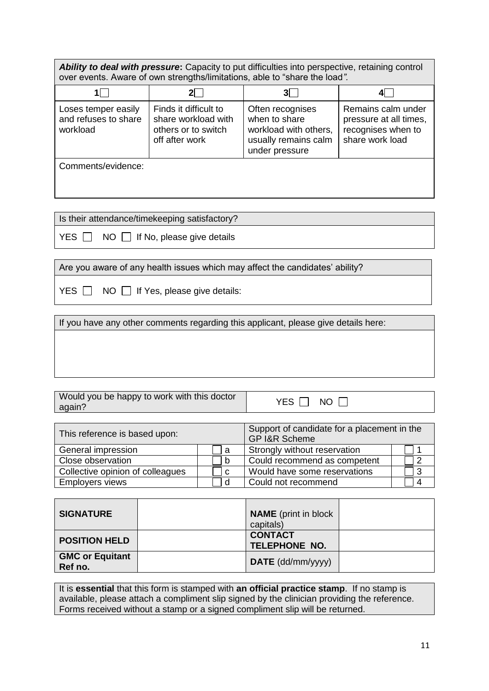Ability to deal with pressure: Capacity to put difficulties into perspective, retaining control over events. Aware of own strengths/limitations, able to "share the load*".*

| 11                                                      |                                                                                       | 3                                                                                                    |                                                                                       |
|---------------------------------------------------------|---------------------------------------------------------------------------------------|------------------------------------------------------------------------------------------------------|---------------------------------------------------------------------------------------|
| Loses temper easily<br>and refuses to share<br>workload | Finds it difficult to<br>share workload with<br>others or to switch<br>off after work | Often recognises<br>when to share<br>workload with others,<br>usually remains calm<br>under pressure | Remains calm under<br>pressure at all times,<br>recognises when to<br>share work load |
| Comments/evidence:                                      |                                                                                       |                                                                                                      |                                                                                       |

Is their attendance/timekeeping satisfactory?

 $YES \n\[\n\]\n\[NO \n\]\nIf No, please give details\n\]$ 

Are you aware of any health issues which may affect the candidates' ability?

|  |  |  |  | $YES \t{~}$ NO $\td{~}$ If Yes, please give details: |
|--|--|--|--|------------------------------------------------------|
|--|--|--|--|------------------------------------------------------|

If you have any other comments regarding this applicant, please give details here:

Would you be happy to work with this doctor <br>again? The NO

| This reference is based upon:    |  | Support of candidate for a placement in the<br><b>GP I&amp;R Scheme</b> |  |
|----------------------------------|--|-------------------------------------------------------------------------|--|
| General impression               |  | Strongly without reservation                                            |  |
| Close observation                |  | Could recommend as competent                                            |  |
| Collective opinion of colleagues |  | Would have some reservations                                            |  |
| <b>Employers views</b>           |  | Could not recommend                                                     |  |

| <b>SIGNATURE</b>                  | <b>NAME</b> (print in block)<br>capitals)                                                    |  |
|-----------------------------------|----------------------------------------------------------------------------------------------|--|
| <b>POSITION HELD</b>              | <b>CONTACT</b><br><b>TELEPHONE NO.</b>                                                       |  |
| <b>GMC or Equitant</b><br>Ref no. | $\mathsf{DATE}\left(\mathsf{dd}/\mathsf{mm}/\mathsf{y}\mathsf{y}\mathsf{y}\mathsf{y}\right)$ |  |

It is **essential** that this form is stamped with **an official practice stamp**. If no stamp is available, please attach a compliment slip signed by the clinician providing the reference. Forms received without a stamp or a signed compliment slip will be returned.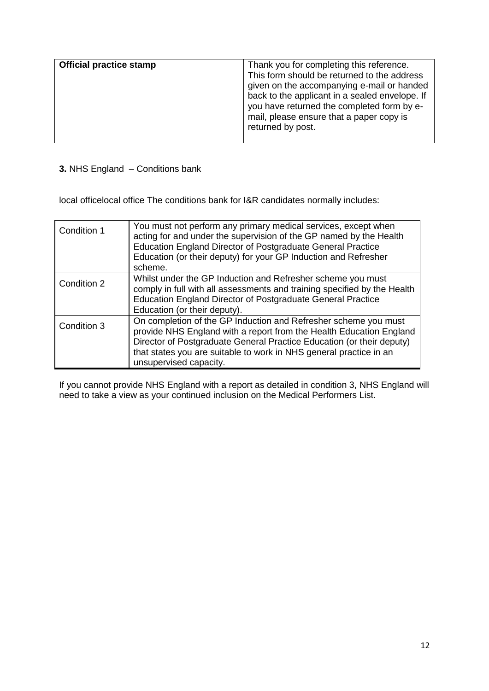| <b>Official practice stamp</b> | Thank you for completing this reference.<br>This form should be returned to the address<br>given on the accompanying e-mail or handed<br>back to the applicant in a sealed envelope. If<br>you have returned the completed form by e-<br>mail, please ensure that a paper copy is<br>returned by post. |
|--------------------------------|--------------------------------------------------------------------------------------------------------------------------------------------------------------------------------------------------------------------------------------------------------------------------------------------------------|
|                                |                                                                                                                                                                                                                                                                                                        |

# **3.** NHS England – Conditions bank

local officelocal office The conditions bank for I&R candidates normally includes:

| Condition 1 | You must not perform any primary medical services, except when<br>acting for and under the supervision of the GP named by the Health<br><b>Education England Director of Postgraduate General Practice</b><br>Education (or their deputy) for your GP Induction and Refresher<br>scheme.                        |
|-------------|-----------------------------------------------------------------------------------------------------------------------------------------------------------------------------------------------------------------------------------------------------------------------------------------------------------------|
| Condition 2 | Whilst under the GP Induction and Refresher scheme you must<br>comply in full with all assessments and training specified by the Health<br><b>Education England Director of Postgraduate General Practice</b><br>Education (or their deputy).                                                                   |
| Condition 3 | On completion of the GP Induction and Refresher scheme you must<br>provide NHS England with a report from the Health Education England<br>Director of Postgraduate General Practice Education (or their deputy)<br>that states you are suitable to work in NHS general practice in an<br>unsupervised capacity. |

If you cannot provide NHS England with a report as detailed in condition 3, NHS England will need to take a view as your continued inclusion on the Medical Performers List.